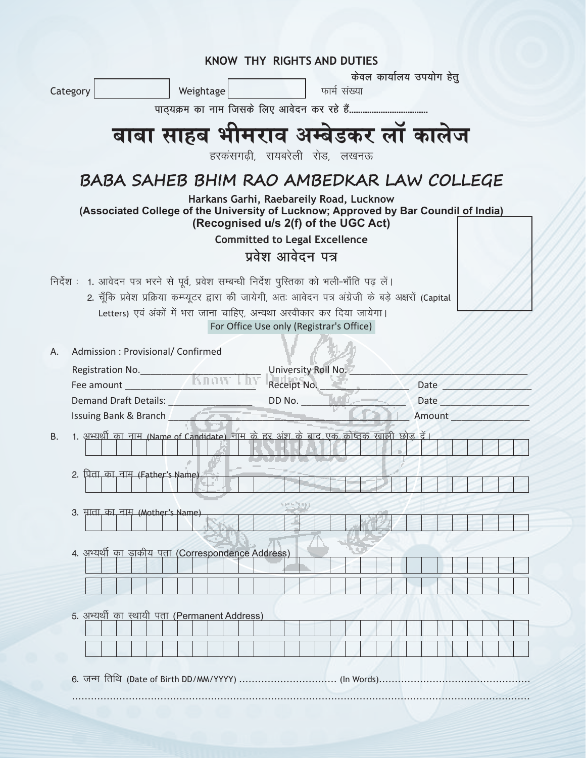|                                                                                               |  |                                                                                                                                                                                                                                      |  | <b>KNOW THY RIGHTS AND DUTIES</b>                                                 |  |              |  |                          |      |  |  |  |  |
|-----------------------------------------------------------------------------------------------|--|--------------------------------------------------------------------------------------------------------------------------------------------------------------------------------------------------------------------------------------|--|-----------------------------------------------------------------------------------|--|--------------|--|--------------------------|------|--|--|--|--|
| Category                                                                                      |  | Weightage                                                                                                                                                                                                                            |  |                                                                                   |  | फार्म संख्या |  | केवल कार्यालय उपयोग हेतू |      |  |  |  |  |
|                                                                                               |  |                                                                                                                                                                                                                                      |  |                                                                                   |  |              |  |                          |      |  |  |  |  |
|                                                                                               |  |                                                                                                                                                                                                                                      |  |                                                                                   |  |              |  |                          |      |  |  |  |  |
|                                                                                               |  | बाबा साहब भीमराव अम्बेडकर लॉ कालेज                                                                                                                                                                                                   |  |                                                                                   |  |              |  |                          |      |  |  |  |  |
|                                                                                               |  |                                                                                                                                                                                                                                      |  | हरकंसगढ़ी, रायबरेली रोड, लखनऊ                                                     |  |              |  |                          |      |  |  |  |  |
|                                                                                               |  | BABA SAHEB BHIM RAO AMBEDKAR LAW COLLEGE                                                                                                                                                                                             |  |                                                                                   |  |              |  |                          |      |  |  |  |  |
|                                                                                               |  |                                                                                                                                                                                                                                      |  | Harkans Garhi, Raebareily Road, Lucknow                                           |  |              |  |                          |      |  |  |  |  |
|                                                                                               |  | (Associated College of the University of Lucknow; Approved by Bar Coundil of India)                                                                                                                                                  |  |                                                                                   |  |              |  |                          |      |  |  |  |  |
|                                                                                               |  |                                                                                                                                                                                                                                      |  | (Recognised u/s 2(f) of the UGC Act)<br><b>Committed to Legal Excellence</b>      |  |              |  |                          |      |  |  |  |  |
|                                                                                               |  |                                                                                                                                                                                                                                      |  | प्रवेश आवेदन पत्र                                                                 |  |              |  |                          |      |  |  |  |  |
|                                                                                               |  |                                                                                                                                                                                                                                      |  |                                                                                   |  |              |  |                          |      |  |  |  |  |
| निर्देश : 1. आवेदन पत्र भरने से पूर्व, प्रवेश सम्बन्धी निर्देश पुस्तिका को भली-भाँति पढ़ लें। |  | 2. चूँकि प्रवेश प्रक्रिया कम्प्यूटर द्वारा की जायेगी, अतः आवेदन पत्र अंग्रेजी के बड़े अक्षरों (Capital                                                                                                                               |  |                                                                                   |  |              |  |                          |      |  |  |  |  |
|                                                                                               |  | Letters) एवं अंकों में भरा जाना चाहिए, अन्यथा अस्वीकार कर दिया जायेगा।                                                                                                                                                               |  |                                                                                   |  |              |  |                          |      |  |  |  |  |
|                                                                                               |  |                                                                                                                                                                                                                                      |  | For Office Use only (Registrar's Office)                                          |  |              |  |                          |      |  |  |  |  |
| Admission: Provisional/ Confirmed<br>А.                                                       |  |                                                                                                                                                                                                                                      |  |                                                                                   |  |              |  |                          |      |  |  |  |  |
|                                                                                               |  |                                                                                                                                                                                                                                      |  |                                                                                   |  |              |  |                          |      |  |  |  |  |
|                                                                                               |  |                                                                                                                                                                                                                                      |  |                                                                                   |  |              |  |                          |      |  |  |  |  |
|                                                                                               |  |                                                                                                                                                                                                                                      |  | Demand Draft Details: ____________________________DD No. ________________________ |  |              |  |                          | Date |  |  |  |  |
|                                                                                               |  | Issuing Bank & Branch <b>Contract Contract Contract Contract Contract Contract Contract Contract Contract Contract Contract Contract Contract Contract Contract Contract Contract Contract Contract Contract Contract Contract C</b> |  |                                                                                   |  |              |  | Amount                   |      |  |  |  |  |
| <b>B.</b>                                                                                     |  | 1. अभ्यर्थी का नाम (Name of Candidate) नाम के हर अंश के बाद एक कोष्ठक ख़ाली छोड़ दें।                                                                                                                                                |  |                                                                                   |  |              |  |                          |      |  |  |  |  |
|                                                                                               |  |                                                                                                                                                                                                                                      |  |                                                                                   |  |              |  |                          |      |  |  |  |  |
| 2. पिता, का, नाम, (Father's Name)                                                             |  |                                                                                                                                                                                                                                      |  |                                                                                   |  |              |  |                          |      |  |  |  |  |
|                                                                                               |  |                                                                                                                                                                                                                                      |  |                                                                                   |  |              |  |                          |      |  |  |  |  |
| माता का नाम (Mother's Name)<br>3.                                                             |  |                                                                                                                                                                                                                                      |  |                                                                                   |  |              |  |                          |      |  |  |  |  |
|                                                                                               |  |                                                                                                                                                                                                                                      |  |                                                                                   |  |              |  |                          |      |  |  |  |  |
|                                                                                               |  | 4. अभ्यर्थी का डा <u>कीय पता (Correspondence Address)</u>                                                                                                                                                                            |  |                                                                                   |  |              |  |                          |      |  |  |  |  |
|                                                                                               |  |                                                                                                                                                                                                                                      |  |                                                                                   |  |              |  |                          |      |  |  |  |  |
|                                                                                               |  |                                                                                                                                                                                                                                      |  |                                                                                   |  |              |  |                          |      |  |  |  |  |
|                                                                                               |  | 5. अभ्यर्थी का स्थायी पता (Permanent Address)                                                                                                                                                                                        |  |                                                                                   |  |              |  |                          |      |  |  |  |  |
|                                                                                               |  |                                                                                                                                                                                                                                      |  |                                                                                   |  |              |  |                          |      |  |  |  |  |
|                                                                                               |  |                                                                                                                                                                                                                                      |  |                                                                                   |  |              |  |                          |      |  |  |  |  |
|                                                                                               |  |                                                                                                                                                                                                                                      |  |                                                                                   |  |              |  |                          |      |  |  |  |  |